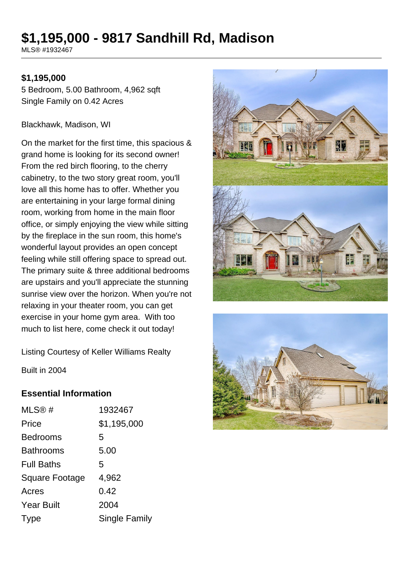# **\$1,195,000 - 9817 Sandhill Rd, Madison**

MLS® #1932467

#### **\$1,195,000**

5 Bedroom, 5.00 Bathroom, 4,962 sqft Single Family on 0.42 Acres

#### Blackhawk, Madison, WI

On the market for the first time, this spacious & grand home is looking for its second owner! From the red birch flooring, to the cherry cabinetry, to the two story great room, you'll love all this home has to offer. Whether you are entertaining in your large formal dining room, working from home in the main floor office, or simply enjoying the view while sitting by the fireplace in the sun room, this home's wonderful layout provides an open concept feeling while still offering space to spread out. The primary suite & three additional bedrooms are upstairs and you'll appreciate the stunning sunrise view over the horizon. When you're not relaxing in your theater room, you can get exercise in your home gym area. With too much to list here, come check it out today!





Listing Courtesy of Keller Williams Realty

Built in 2004

#### **Essential Information**

| MLS@#                 | 1932467       |
|-----------------------|---------------|
| Price                 | \$1,195,000   |
| <b>Bedrooms</b>       | 5             |
| <b>Bathrooms</b>      | 5.00          |
| <b>Full Baths</b>     | 5             |
| <b>Square Footage</b> | 4,962         |
| Acres                 | 0.42          |
| <b>Year Built</b>     | 2004          |
| <b>I</b> ype          | Single Family |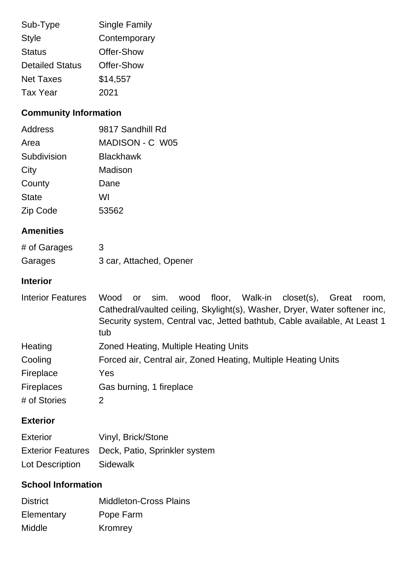| Sub-Type               | <b>Single Family</b> |
|------------------------|----------------------|
| <b>Style</b>           | Contemporary         |
| <b>Status</b>          | Offer-Show           |
| <b>Detailed Status</b> | Offer-Show           |
| <b>Net Taxes</b>       | \$14,557             |
| <b>Tax Year</b>        | 2021                 |

# **Community Information**

| Address      | 9817 Sandhill Rd |
|--------------|------------------|
| Area         | MADISON - C W05  |
| Subdivision  | <b>Blackhawk</b> |
| City         | Madison          |
| County       | Dane             |
| <b>State</b> | WI               |
| Zip Code     | 53562            |

## **Amenities**

| # of Garages | 3                       |
|--------------|-------------------------|
| Garages      | 3 car, Attached, Opener |

# **Interior**

| <b>Interior Features</b> | floor, Walk-in closet(s), Great<br>wood<br>Wood<br>sim.<br>or<br>room,     |
|--------------------------|----------------------------------------------------------------------------|
|                          | Cathedral/vaulted ceiling, Skylight(s), Washer, Dryer, Water softener inc, |
|                          | Security system, Central vac, Jetted bathtub, Cable available, At Least 1  |
|                          | tub                                                                        |
| Heating                  | Zoned Heating, Multiple Heating Units                                      |
| Cooling                  | Forced air, Central air, Zoned Heating, Multiple Heating Units             |
| Fireplace                | Yes                                                                        |
| <b>Fireplaces</b>        | Gas burning, 1 fireplace                                                   |
| # of Stories             | 2                                                                          |

### **Exterior**

| Exterior        | Vinyl, Brick/Stone                              |
|-----------------|-------------------------------------------------|
|                 | Exterior Features Deck, Patio, Sprinkler system |
| Lot Description | Sidewalk                                        |

# **School Information**

| <b>District</b> | <b>Middleton-Cross Plains</b> |
|-----------------|-------------------------------|
| Elementary      | Pope Farm                     |
| Middle          | Kromrey                       |